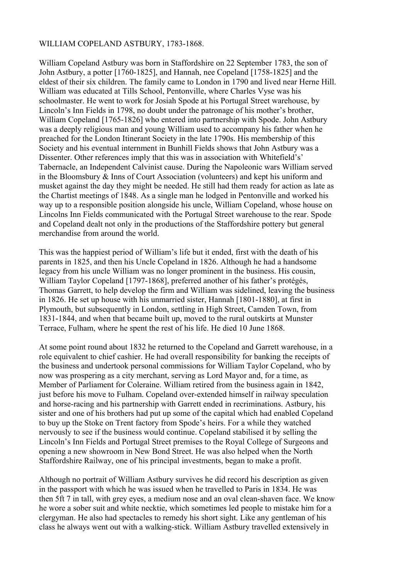## WILLIAM COPELAND ASTBURY, 1783-1868.

William Copeland Astbury was born in Staffordshire on 22 September 1783, the son of John Astbury, a potter [1760-1825], and Hannah, nee Copeland [1758-1825] and the eldest of their six children. The family came to London in 1790 and lived near Herne Hill. William was educated at Tills School, Pentonville, where Charles Vyse was his schoolmaster. He went to work for Josiah Spode at his Portugal Street warehouse, by Lincoln's Inn Fields in 1798, no doubt under the patronage of his mother's brother, William Copeland [1765-1826] who entered into partnership with Spode. John Astbury was a deeply religious man and young William used to accompany his father when he preached for the London Itinerant Society in the late 1790s. His membership of this Society and his eventual internment in Bunhill Fields shows that John Astbury was a Dissenter. Other references imply that this was in association with Whitefield's' Tabernacle, an Independent Calvinist cause. During the Napoleonic wars William served in the Bloomsbury & Inns of Court Association (volunteers) and kept his uniform and musket against the day they might be needed. He still had them ready for action as late as the Chartist meetings of 1848. As a single man he lodged in Pentonville and worked his way up to a responsible position alongside his uncle, William Copeland, whose house on Lincolns Inn Fields communicated with the Portugal Street warehouse to the rear. Spode and Copeland dealt not only in the productions of the Staffordshire pottery but general merchandise from around the world.

This was the happiest period of William's life but it ended, first with the death of his parents in 1825, and then his Uncle Copeland in 1826. Although he had a handsome legacy from his uncle William was no longer prominent in the business. His cousin, William Taylor Copeland [1797-1868], preferred another of his father's protégés, Thomas Garrett, to help develop the firm and William was sidelined, leaving the business in 1826. He set up house with his unmarried sister, Hannah [1801-1880], at first in Plymouth, but subsequently in London, settling in High Street, Camden Town, from 1831-1844, and when that became built up, moved to the rural outskirts at Munster Terrace, Fulham, where he spent the rest of his life. He died 10 June 1868.

At some point round about 1832 he returned to the Copeland and Garrett warehouse, in a role equivalent to chief cashier. He had overall responsibility for banking the receipts of the business and undertook personal commissions for William Taylor Copeland, who by now was prospering as a city merchant, serving as Lord Mayor and, for a time, as Member of Parliament for Coleraine. William retired from the business again in 1842, just before his move to Fulham. Copeland over-extended himself in railway speculation and horse-racing and his partnership with Garrett ended in recriminations. Astbury, his sister and one of his brothers had put up some of the capital which had enabled Copeland to buy up the Stoke on Trent factory from Spode's heirs. For a while they watched nervously to see if the business would continue. Copeland stabilised it by selling the Lincoln's Inn Fields and Portugal Street premises to the Royal College of Surgeons and opening a new showroom in New Bond Street. He was also helped when the North Staffordshire Railway, one of his principal investments, began to make a profit.

Although no portrait of William Astbury survives he did record his description as given in the passport with which he was issued when he travelled to Paris in 1834. He was then 5ft 7 in tall, with grey eyes, a medium nose and an oval clean-shaven face. We know he wore a sober suit and white necktie, which sometimes led people to mistake him for a clergyman. He also had spectacles to remedy his short sight. Like any gentleman of his class he always went out with a walking-stick. William Astbury travelled extensively in